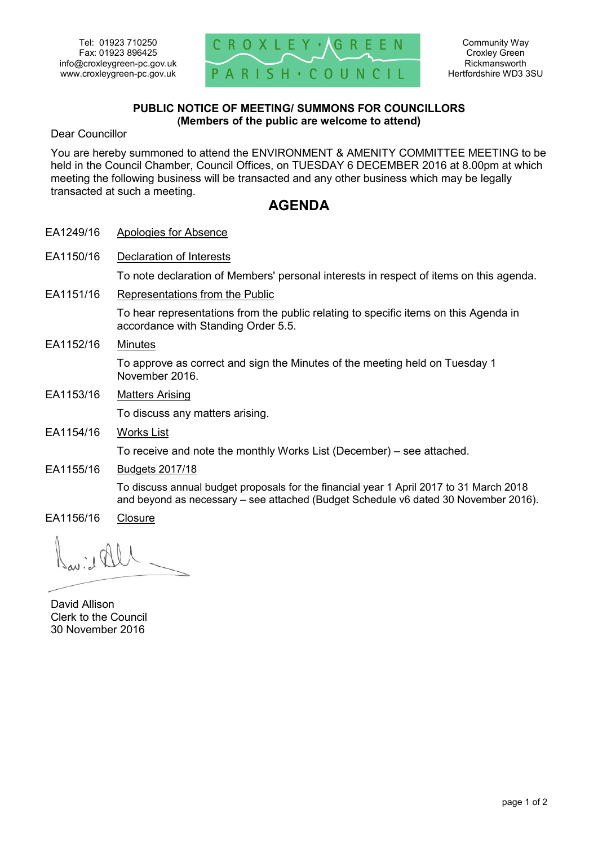

## **PUBLIC NOTICE OF MEETING/ SUMMONS FOR COUNCILLORS (Members of the public are welcome to attend)**

Dear Councillor

You are hereby summoned to attend the ENVIRONMENT & AMENITY COMMITTEE MEETING to be held in the Council Chamber, Council Offices, on TUESDAY 6 DECEMBER 2016 at 8.00pm at which meeting the following business will be transacted and any other business which may be legally transacted at such a meeting.

## **AGENDA**

- EA1249/16 Apologies for Absence
- EA1150/16 Declaration of Interests

To note declaration of Members' personal interests in respect of items on this agenda.

EA1151/16 Representations from the Public

To hear representations from the public relating to specific items on this Agenda in accordance with Standing Order 5.5.

- EA1152/16 Minutes To approve as correct and sign the Minutes of the meeting held on Tuesday 1 November 2016. EA1153/16 Matters Arising
	- To discuss any matters arising.
- EA1154/16 Works List

To receive and note the monthly Works List (December) – see attached.

EA1155/16 Budgets 2017/18

To discuss annual budget proposals for the financial year 1 April 2017 to 31 March 2018 and beyond as necessary – see attached (Budget Schedule v6 dated 30 November 2016).

EA1156/16 Closure

David Allison Clerk to the Council 30 November 2016